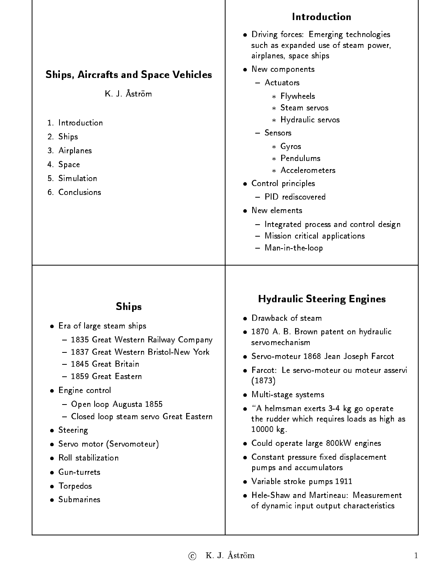|                                                                                                                                                                                                                                                                                                                                                                                          | Introduction                                                                                                                                                                                                                                                                                                                                                                                                                                                                                                                                                                         |
|------------------------------------------------------------------------------------------------------------------------------------------------------------------------------------------------------------------------------------------------------------------------------------------------------------------------------------------------------------------------------------------|--------------------------------------------------------------------------------------------------------------------------------------------------------------------------------------------------------------------------------------------------------------------------------------------------------------------------------------------------------------------------------------------------------------------------------------------------------------------------------------------------------------------------------------------------------------------------------------|
|                                                                                                                                                                                                                                                                                                                                                                                          | . Driving forces: Emerging technologies<br>such as expanded use of steam power,<br>airplanes, space ships                                                                                                                                                                                                                                                                                                                                                                                                                                                                            |
|                                                                                                                                                                                                                                                                                                                                                                                          | • New components                                                                                                                                                                                                                                                                                                                                                                                                                                                                                                                                                                     |
| <b>Ships, Aircrafts and Space Vehicles</b><br>K. J. Åström<br>1. Introduction<br>2. Ships<br>3 Airplanes<br>4 Space<br>5. Simulation<br>6. Conclusions                                                                                                                                                                                                                                   | - Actuators<br>* Flywheels<br>* Steam servos<br>* Hydraulic servos<br>- Sensors<br>$*$ Gyros<br>* Pendulums<br>* Accelerometers<br>• Control principles<br>- PID rediscovered<br>• New elements<br>- Integrated process and control design<br>- Mission critical applications<br>- Man-in-the-loop                                                                                                                                                                                                                                                                                   |
| <b>Ships</b><br>• Era of large steam ships<br>— 1835 Great Western Railway Company<br>- 1837 Great Western Bristol-New York<br>- 1845 Great Britain<br>- 1859 Great Eastern<br>• Engine control<br>- Open loop Augusta 1855<br>- Closed loop steam servo Great Eastern<br>• Steering<br>• Servo motor (Servomoteur)<br>• Roll stabilization<br>Gun-turrets<br>• Torpedos<br>· Submarines | <b>Hydraulic Steering Engines</b><br>• Drawback of steam<br>• 1870 A. B. Brown patent on hydraulic<br>servomechanism<br>• Servo-moteur 1868 Jean Joseph Farcot<br>• Farcot: Le servo-moteur ou moteur asservi<br>(1873)<br>• Multi-stage systems<br>• "A helmsman exerts 3-4 kg go operate<br>the rudder which requires loads as high as<br>10000 kg<br>• Could operate large 800kW engines<br>• Constant pressure fixed displacement<br>pumps and accumulators<br>• Variable stroke pumps 1911<br>• Hele-Shaw and Martineau: Measurement<br>of dynamic input output characteristics |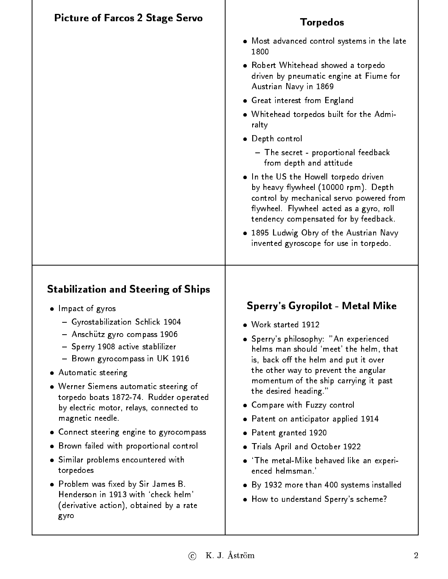| <b>Picture of Farcos 2 Stage Servo</b>                                                                                                                                                                                                                                                                                                                                                                                          | <b>Torpedos</b>                                                                                                                                                                                                                                                                                                                                                                                                                                                                                                                                                                                                                                   |
|---------------------------------------------------------------------------------------------------------------------------------------------------------------------------------------------------------------------------------------------------------------------------------------------------------------------------------------------------------------------------------------------------------------------------------|---------------------------------------------------------------------------------------------------------------------------------------------------------------------------------------------------------------------------------------------------------------------------------------------------------------------------------------------------------------------------------------------------------------------------------------------------------------------------------------------------------------------------------------------------------------------------------------------------------------------------------------------------|
|                                                                                                                                                                                                                                                                                                                                                                                                                                 | • Most advanced control systems in the late<br>1800<br>• Robert Whitehead showed a torpedo<br>driven by pneumatic engine at Fiume for<br>Austrian Navy in 1869<br>• Great interest from England<br>. Whitehead torpedos built for the Admi-<br>ralty<br>· Depth control<br>- The secret - proportional feedback<br>from depth and attitude<br>. In the US the Howell torpedo driven<br>by heavy flywheel (10000 rpm). Depth<br>control by mechanical servo powered from<br>flywheel. Flywheel acted as a gyro, roll<br>tendency compensated for by feedback.<br>• 1895 Ludwig Obry of the Austrian Navy<br>invented gyroscope for use in torpedo. |
| <b>Stabilization and Steering of Ships</b><br>• Impact of gyros<br>- Gyrostabilization Schlick 1904<br>- Anschütz gyro compass 1906<br>- Sperry 1908 active stabilizer<br>- Brown gyrocompass in UK 1916<br>• Automatic steering<br>• Werner Siemens automatic steering of<br>torpedo boats 1872-74. Rudder operated<br>by electric motor, relays, connected to<br>magnetic needle.<br>• Connect steering engine to gyrocompass | Sperry's Gyropilot - Metal Mike<br>• Work started 1912<br>• Sperry's philosophy: "An experienced<br>helms man should 'meet' the helm, that<br>is, back off the helm and put it over<br>the other way to prevent the angular<br>momentum of the ship carrying it past<br>the desired heading."<br>• Compare with Fuzzy control<br>• Patent on anticipator applied 1914<br>Patent granted 1920<br>$\bullet$                                                                                                                                                                                                                                         |
| • Brown failed with proportional control<br>• Similar problems encountered with<br>torpedoes<br>• Problem was fixed by Sir James B.<br>Henderson in 1913 with 'check helm'<br>(derivative action), obtained by a rate<br>gyro                                                                                                                                                                                                   | • Trials April and October 1922<br>$\bullet$ 'The metal-Mike behaved like an experi-<br>enced helmsman.'<br>By 1932 more than 400 systems installed<br>• How to understand Sperry's scheme?                                                                                                                                                                                                                                                                                                                                                                                                                                                       |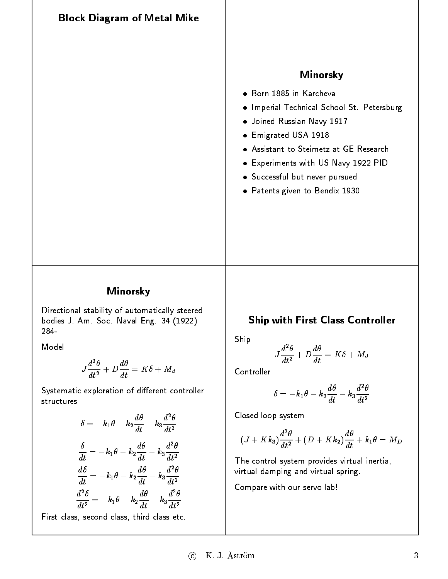Block Diagram of Metal Mike Minorsky Born 1885 in Karcheva  $\bullet$  Imperial Technical School St. Petersburg Joined Russian Navy 1917 Emigrated USA 1918 Assistant to Steimetz at GE Research Experiments with US Navy 1922 PID Successful but never pursued Patents given to Bendix 1930

#### Minorsky

Directional stability of automatically steered bodies J. Am. Soc. Naval Eng. 34 (1922) 284-

Model

$$
J\frac{d^2\theta}{dt^2} + D\frac{d\theta}{dt} = K\delta + M_d
$$

Systematic exploration of different controller structures

$$
\delta = -k_1 \theta - k_2 \frac{d\theta}{dt} - k_3 \frac{d^2 \theta}{dt^2}
$$

$$
\frac{\delta}{dt} = -k_1 \theta - k_2 \frac{d\theta}{dt} - k_3 \frac{d^2 \theta}{dt^2}
$$

$$
\frac{d\delta}{dt} = -k_1 \theta - k_2 \frac{d\theta}{dt} - k_3 \frac{d^2 \theta}{dt^2}
$$

$$
\frac{d^2 \delta}{dt^2} = -k_1 \theta - k_2 \frac{d\theta}{dt} - k_3 \frac{d^2 \theta}{dt^2}
$$
First class, second class, third class etc.

#### Ship with First Class Controller

Ship

$$
J\frac{d^2\theta}{dt^2} + D\frac{d\theta}{dt} = K\delta + M_d
$$

$$
\delta = -k_1 \theta - k_2 \frac{d\theta}{dt} - k_3 \frac{d^2\theta}{dt^2}
$$

Closed loop system

$$
(J+Kk_3)\frac{d^2\theta}{dt^2}+(D+Kk_2)\frac{d\theta}{dt}+k_1\theta=M_D
$$

The control system provides virtual inertia, virtual damping and virtual spring.

Compare with our servo lab!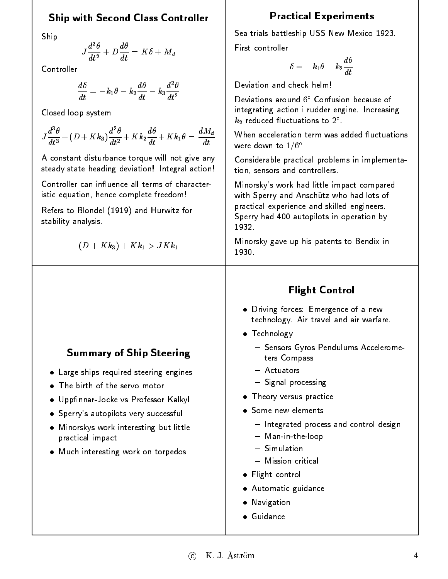#### Ship with Second Class Controller

Ship

$$
J\frac{d^2\theta}{dt^2} + D\frac{d\theta}{dt} = K\delta + M_d
$$

Controller

$$
\frac{d\delta}{dt}=-k_1\theta-k_2\frac{d\theta}{dt}-k_3\frac{d^2\theta}{dt^2}
$$

Closed loop system

$$
J\frac{d^3\theta}{dt^3}\!+\!(D+Kk_3)\frac{d^2\theta}{dt^2}\!+\!Kk_2\frac{d\theta}{dt}\!+\!Kk_1\theta=\frac{dM_d}{dt}
$$

A constant disturbance torque will not give any steady state heading deviation! Integral action!

Controller can influence all terms of characteristic equation, hence complete freedom! istic equation, hence complete freedom!

Refers to Blondel (1919) and Hurwitz for stability analysis.

$$
(D+Kk_3)+Kk_1>JKk_1\\
$$

#### Practical Experiments

Sea trials battleship USS New Mexico 1923. First controller

$$
\delta=-k_1\theta-k_2\frac{d\theta}{dt}
$$

Deviation and check helm!

Deviations around <sup>6</sup> Confusion because of integrating action i rudder engine. Increasing  $\kappa_2$  reduced fluctuations to  $2$  .

When acceleration term was added fluctuations were down to  $1/6^{\circ}$ 

Considerable practical problems in implementation, sensors and controllers.

Minorsky's work had little impact compared with Sperry and Anschutz who had lots of practical experience and skilled engineers. Sperry had 400 autopilots in operation by 1932

Minorsky gave up his patents to Bendix in 1930.

#### Summary of Ship Steering Large ships required steering engines The birth of the servo motor · Uppfinnar-Jocke vs Professor Kalkyl • Sperry's autopilots very successful Minorskys work interesting but little practical impact Much interesting work on torpedos Flight Control Driving forces: Emergence of a new technology. Air travel and air warfare. • Technology { Sensors Gyros Pendulums Accelerometers Compass - Actuators { Signal processing **• Theory versus practice**  Some new elements { Integrated process and control design { Man-in-the-loop - Simulation { Mission critical **•** Flight control Automatic guidance **•** Navigation Guidance

#### $\overline{c}$  K. J. Åström 4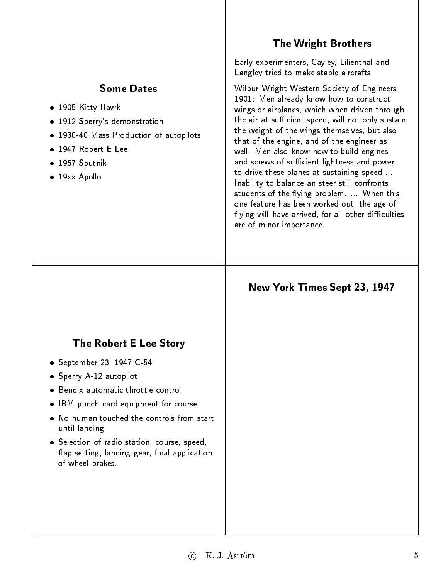## **Some Dates**

- 1905 Kitty Hawk
- 1912 Sperry's demonstration
- 1930-40 Mass Production of autopilots
- 
- $\bullet$  1957 Sputnik 1957 Sputnik Sputnik Sputnik Sputnik Sputnik Sputnik Sputnik Sputnik Sputnik Sputnik Sputnik Sputnik Sputnik S
- 19xx Apollo

#### The Wright Brothers

Early experimenters, Cayley, Lilienthal and Langley tried to make stable aircrafts

Wilbur Wright Western Society of Engineers 1901: Men already know how to construct wings or airplanes, which when driven through the air at sufficient speed, will not only sustain the weight of the wings themselves, but also that of the engine, and of the engineer as well. Men also know how to build engines and screws of sufficient lightness and power to drive these planes at sustaining speed ... Inability to balance an steer still confronts students of the flying problem. ... When this one feature has been worked out, the age of flying will have arrived, for all other difficulties are of minor importance.

#### New York Times Sept 23, 1947

#### The Robert E Lee Story

- September 23, 1947 C-54
- Sperry A-12 autopilot
- Bendix automatic throttle control
- IBM punch card equipment for course
- No human touched the controls from start until landing
- Selection of radio station, course, speed, flap setting, landing gear, final application of wheel brakes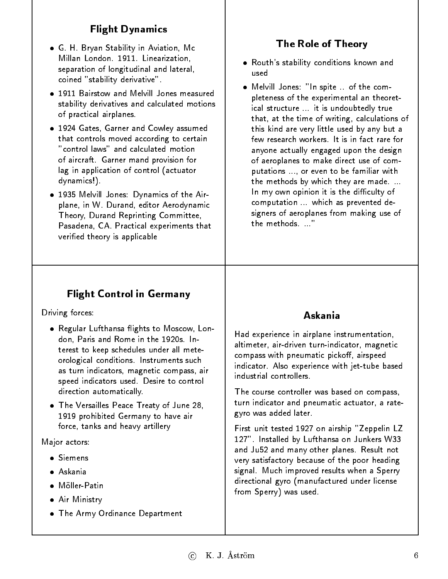# Flight Dynamics

- G. H. Bryan Stability in Aviation, Mc Millan London. 1911. Linearization, separation of longitudinal and lateral, coined "stability derivative".
- 1911 Bairstow and Melvill Jones measured 1911 Bairstow and Melvill Jones measured stability derivatives and calculated motions of practical airplanes.
- 1924 Gates, Garner and Cowley assumed that controls moved according to certain "control laws" and calculated motion of aircraft. Garner mand provision for of aircraft. Garner mand provision for lag in application of control (actuator dynamics!).
- 1935 Melvill Jones: Dynamics of the Airplane, in W. Durand, editor Aerodynamic Theory, Durand Reprinting Committee, Pasadena, CA. Practical experiments that veried theory is applicable

# The Role of Theory

- Routh's stability conditions known and used
- Melvill Jones: "In spite .. of the completeness of the experimental an theoretical structure ... it is undoubtedly true that, at the time of writing, calculations of this kind are very little used by any but a few research workers. It is in fact rare for anyone actually engaged upon the design of aeroplanes to make direct use of computations ..., or even to be familiar with the methods by which they are made. ... In my own opinion it is the difficulty of computation ... which as prevented designers of aeroplanes from making use of the methods...."

## Flight Control in Germany

Driving forces:

- . Regular Lufthansa flights to Moscow, London, Paris and Rome in the 1920s. Interest to keep schedules under all meteorological conditions. Instruments such as turn indicators, magnetic compass, air speed indicators used. Desire to control direction automatically. direction automatically.
- The Versailles Peace Treaty of June 28, 1919 prohibited Germany to have air force, tanks and heavy artillery

Major actors:

- · Siemens
- · Askania Askania
- Möller-Patin
- Air Ministry
- The Army Ordinance Department

## Askania

Had experience in airplane instrumentation, altimeter, air-driven turn-indicator, magnetic compass with pneumatic pickoff, airspeed indicator. Also experience with jet-tube based industrial controllers

The course controller was based on compass, turn indicator and pneumatic actuator, a rategyro was added later.

First unit tested 1927 on airship "Zeppelin LZ 127". Installed by Lufthansa on Junkers W33 and Ju52 and many other planes. Result not very satisfactory because of the poor heading signal. Much improved results when a Sperry directional gyro (manufactured under license from Sperry) was used.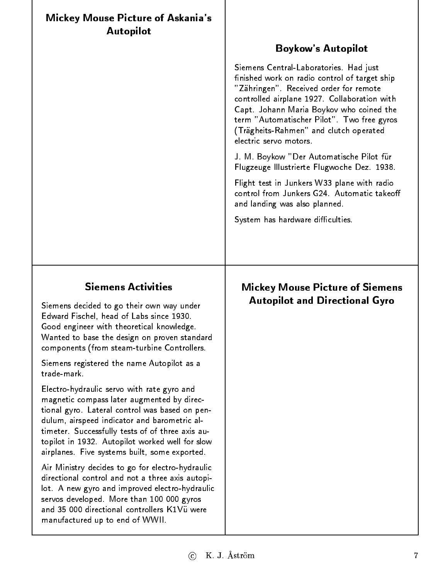| <b>Mickey Mouse Picture of Askania's</b><br><b>Autopilot</b>                                                                                                                                                                                                                                                                                       |                                                                                                                                                                                                                                                                                                                                                                             |
|----------------------------------------------------------------------------------------------------------------------------------------------------------------------------------------------------------------------------------------------------------------------------------------------------------------------------------------------------|-----------------------------------------------------------------------------------------------------------------------------------------------------------------------------------------------------------------------------------------------------------------------------------------------------------------------------------------------------------------------------|
|                                                                                                                                                                                                                                                                                                                                                    | <b>Boykow's Autopilot</b><br>Siemens Central-Laboratories. Had just<br>finished work on radio control of target ship<br>"Zähringen". Received order for remote<br>controlled airplane 1927. Collaboration with<br>Capt. Johann Maria Boykov who coined the<br>term "Automatischer Pilot". Two free gyros<br>(Trägheits-Rahmen" and clutch operated<br>electric servo motors |
|                                                                                                                                                                                                                                                                                                                                                    | J. M. Boykow "Der Automatische Pilot für<br>Flugzeuge Illustrierte Flugwoche Dez. 1938.                                                                                                                                                                                                                                                                                     |
|                                                                                                                                                                                                                                                                                                                                                    | Flight test in Junkers W33 plane with radio<br>control from Junkers G24. Automatic takeoff<br>and landing was also planned.                                                                                                                                                                                                                                                 |
|                                                                                                                                                                                                                                                                                                                                                    | System has hardware difficulties.                                                                                                                                                                                                                                                                                                                                           |
|                                                                                                                                                                                                                                                                                                                                                    |                                                                                                                                                                                                                                                                                                                                                                             |
|                                                                                                                                                                                                                                                                                                                                                    |                                                                                                                                                                                                                                                                                                                                                                             |
| <b>Siemens Activities</b><br>Siemens decided to go their own way under<br>Edward Fischel, head of Labs since 1930.<br>Good engineer with theoretical knowledge<br>Wanted to base the design on proven standard<br>components (from steam-turbine Controllers.                                                                                      | <b>Mickey Mouse Picture of Siemens</b><br><b>Autopilot and Directional Gyro</b>                                                                                                                                                                                                                                                                                             |
| Siemens registered the name Autopilot as a<br>trade-mark.                                                                                                                                                                                                                                                                                          |                                                                                                                                                                                                                                                                                                                                                                             |
| Electro-hydraulic servo with rate gyro and<br>magnetic compass later augmented by direc-<br>tional gyro. Lateral control was based on pen-<br>dulum, airspeed indicator and barometric al-<br>timeter. Successfully tests of of three axis au-<br>topilot in 1932. Autopilot worked well for slow<br>airplanes. Five systems built, some exported. |                                                                                                                                                                                                                                                                                                                                                                             |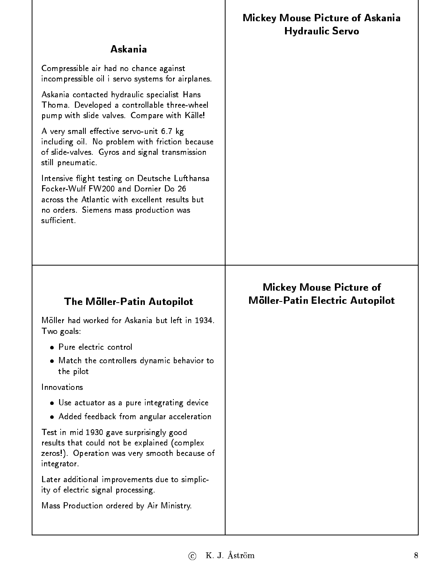|                                                                                                                                                                                                  | <b>Hydraulic Servo</b>                                            |
|--------------------------------------------------------------------------------------------------------------------------------------------------------------------------------------------------|-------------------------------------------------------------------|
| Askania                                                                                                                                                                                          |                                                                   |
| Compressible air had no chance against<br>incompressible oil i servo systems for airplanes.                                                                                                      |                                                                   |
| Askania contacted hydraulic specialist Hans<br>Thoma. Developed a controllable three-wheel<br>pump with slide valves. Compare with Källe!                                                        |                                                                   |
| A very small effective servo-unit 6.7 kg<br>including oil. No problem with friction because<br>of slide-valves. Gyros and signal transmission<br>still pneumatic.                                |                                                                   |
| Intensive flight testing on Deutsche Lufthansa<br>Focker-Wulf FW200 and Dornier Do 26<br>across the Atlantic with excellent results but<br>no orders. Siemens mass production was<br>sufficient. |                                                                   |
|                                                                                                                                                                                                  |                                                                   |
|                                                                                                                                                                                                  |                                                                   |
| The Möller-Patin Autopilot                                                                                                                                                                       | <b>Mickey Mouse Picture of</b><br>Möller-Patin Electric Autopilot |
| Möller had worked for Askania but left in 1934.<br>Two goals:                                                                                                                                    |                                                                   |
| • Pure electric control                                                                                                                                                                          |                                                                   |
| • Match the controllers dynamic behavior to<br>the pilot                                                                                                                                         |                                                                   |
| Innovations                                                                                                                                                                                      |                                                                   |
| • Use actuator as a pure integrating device                                                                                                                                                      |                                                                   |
| • Added feedback from angular acceleration                                                                                                                                                       |                                                                   |
| Test in mid 1930 gave surprisingly good<br>results that could not be explained (complex<br>zeros!). Operation was very smooth because of<br>integrator.                                          |                                                                   |
| Later additional improvements due to simplic-<br>ity of electric signal processing.                                                                                                              |                                                                   |
| Mass Production ordered by Air Ministry.                                                                                                                                                         |                                                                   |

Mickey Mouse Picture of Askania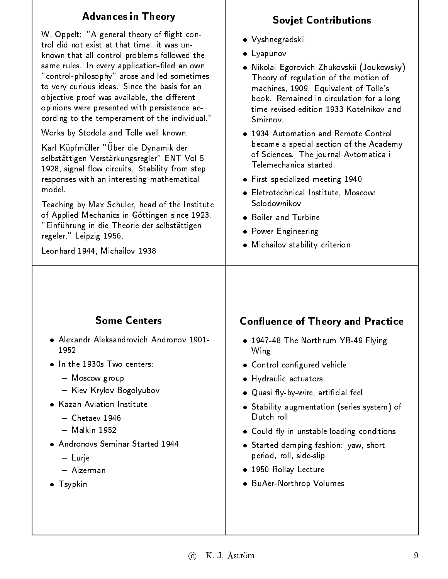## Advances in Theory

W. Oppelt: "A general theory of flight control did not exist at that time. it was unknown that all control problems followed the same rules. In every application-filed an own "control-philosophy" arose and led sometimes to very curious ideas. Since the basis for an objective proof was available, the different opinions were presented with persistence according to the temperament of the individual."

Works by Stodola and Tolle well known.

Karl Kupfmuller "Uber die Dynamik der selbstättigen Verstärkungsregler" ENT Vol 5 1928, signal flow circuits. Stability from step responses with an interesting mathematical model.

Teaching by Max Schuler, head of the Institute of Applied Mechanics in Göttingen since 1923. "Einfuhrung in die Theorie der selbstättigen regeler." Leipzig 1956.

#### Leonhard 1944, Michailov 1938

# Sovjet Contributions

- Vyshnegradskii
- Lyapunov
- Nikolai Egorovich Zhukovskii (Joukowsky) Theory of regulation of the motion of machines, 1909. Equivalent of Tolle's book. Remained in circulation for a long time revised edition 1933 Kotelnikov and Smirnov
- 1934 Automation and Remote Control became a special section of the Academy of Sciences. The journal Avtomatica i Telemechanica started.
- First specialized meeting 1940
- Eletrotechnical Institute, Moscow: Solodownikov
- Boiler and Turbine
- Power Engineering
- Michailov stability criterion

## **Some Centers**

- · Alexandr Aleksandrovich Andronov 1901- Alexandr Aleksandrovich Andronov 1901- 1952
- - $\cdots$   $\cdots$  gives  $\cdots$
	- $\cdots$
- Kazan Aviation Institute
	- $-$  Chetaev 1946
	- Malkin 1952
- . Andronovs Seminar Started 1944
	- $-$  Lurie Lurje
	- { Aizerman
- **Tsypkin**

# Confluence of Theory and Practice

- 1947-48 The Northrum YB-49 Flying Wing
- Control configured vehicle
- Hydraulic actuators
- Quasi fly-by-wire, artificial feel
- Stability augmentation (series system) of Dutch roll
- Could fly in unstable loading conditions
- Started damping fashion: yaw, short period, roll, side-slip
- 1950 Bollay Lecture
- BuAer-Northrop Volumes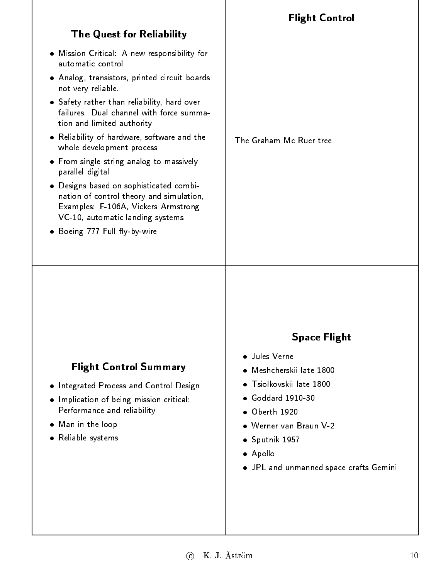|                                                                                                                                                                                                                         | <b>Flight Control</b>                                                                                                                                                                                                          |
|-------------------------------------------------------------------------------------------------------------------------------------------------------------------------------------------------------------------------|--------------------------------------------------------------------------------------------------------------------------------------------------------------------------------------------------------------------------------|
| <b>The Quest for Reliability</b>                                                                                                                                                                                        |                                                                                                                                                                                                                                |
| . Mission Critical: A new responsibility for<br>automatic control                                                                                                                                                       |                                                                                                                                                                                                                                |
| · Analog, transistors, printed circuit boards<br>not very reliable.                                                                                                                                                     |                                                                                                                                                                                                                                |
| • Safety rather than reliability, hard over<br>failures. Dual channel with force summa-<br>tion and limited authority                                                                                                   |                                                                                                                                                                                                                                |
| • Reliability of hardware, software and the<br>whole development process                                                                                                                                                | The Graham Mc Ruer tree                                                                                                                                                                                                        |
| • From single string analog to massively<br>parallel digital                                                                                                                                                            |                                                                                                                                                                                                                                |
| • Designs based on sophisticated combi-<br>nation of control theory and simulation,<br>Examples: F-106A, Vickers Armstrong<br>VC-10, automatic landing systems                                                          |                                                                                                                                                                                                                                |
| Boeing 777 Full fly-by-wire<br>۰                                                                                                                                                                                        |                                                                                                                                                                                                                                |
| <b>Flight Control Summary</b><br>. Integrated Process and Control Design<br>Implication of being mission critical:<br>$\bullet$<br>Performance and reliability<br>Man in the loop<br>$\bullet$<br>Reliable systems<br>٠ | <b>Space Flight</b><br>· Jules Verne<br>Meshcherskij late 1800<br>Tsiolkovskii late 1800<br>Goddard 1910-30<br>• Oberth 1920<br>• Werner van Braun V-2<br>· Sputnik 1957<br>• Apollo<br>. JPL and unmanned space crafts Gemini |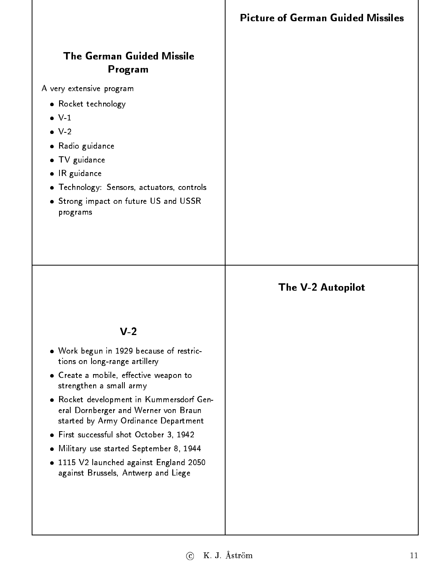# Program

A very extensive program

- Rocket technology
- 
- $\bullet$  V-2 V-2
- Radio guidance
- TV guidance
- IR guidance
- Technology: Sensors, actuators, controls
- Strong impact on future US and USSR programs

# The V-2 Autopilot

#### $V - 2$

- Work begun in 1929 because of restrictions on long-range artillery
- Create a mobile, effective weapon to strengthen a small army
- Rocket development in Kummersdorf General Dornberger and Werner von Braun started by Army Ordinance Department
- First successful shot October 3, 1942
- Military use started September 8, 1944
- $\bullet$  1115 V2 launched against England 2050 against Brussels, Antwerp and Liege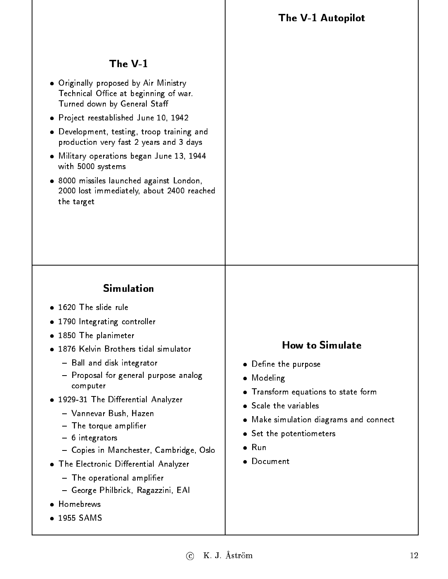The V-1 Autopilot

#### The  $V-1$

- Originally proposed by Air Ministry Technical Office at beginning of war. Turned down by General Sta
- Project reestablished June 10, 1942
- Development, testing, troop training and production very fast 2 years and 3 days
- Military operations began June 13, 1944 with 5000 systems
- 8000 missiles launched against London, 2000 lost immediately, about 2400 reached the target

#### **Simulation**

- 1620 The slide rule
- 1790 Integrating controller
- 1850 The planimeter
- 1876 Kelvin Brothers tidal simulator
	- $\bf{B}$  ball and disk integrator
	- { Proposal for general purpose analog computer
- . 1929-31 The Differential Analyzer
	- { Vannevar Bush, Hazen
	- { The torque amplier
	- { 6 integrators
	- { Copies in Manchester, Cambridge, Oslo
- . The Electronic Differential Analyzer
	- { The operational amplier
	- ${\bf G}$  . For  ${\bf G}$  and  ${\bf G}$  are propositions of  ${\bf G}$
- Homebrews
- 1955 SAMS

#### **How to Simulate**

- Define the purpose
- **•** Modeling
- Transform equations to state form
- **Scale the variables**
- Make simulation diagrams and connect
- **•** Set the potentiometers
- 
- Document